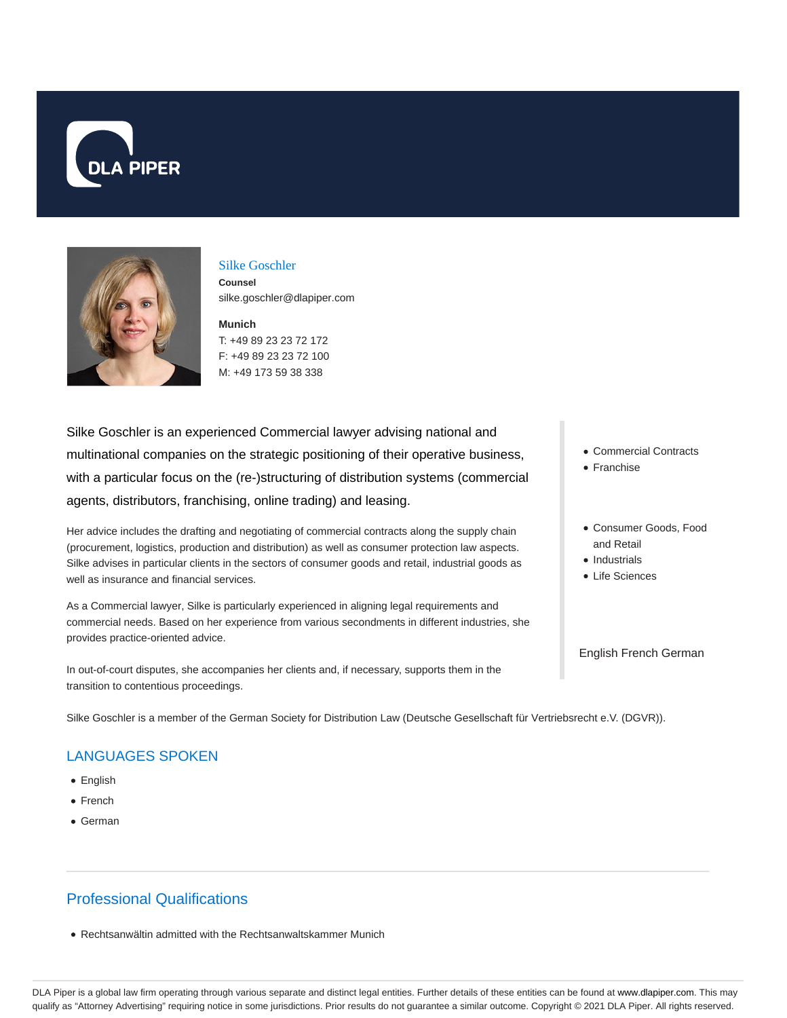



#### Silke Goschler

**Counsel** silke.goschler@dlapiper.com

**Munich** T: +49 89 23 23 72 172 F: +49 89 23 23 72 100 M: +49 173 59 38 338

Silke Goschler is an experienced Commercial lawyer advising national and multinational companies on the strategic positioning of their operative business, with a particular focus on the (re-)structuring of distribution systems (commercial agents, distributors, franchising, online trading) and leasing.

Her advice includes the drafting and negotiating of commercial contracts along the supply chain (procurement, logistics, production and distribution) as well as consumer protection law aspects. Silke advises in particular clients in the sectors of consumer goods and retail, industrial goods as well as insurance and financial services.

As a Commercial lawyer, Silke is particularly experienced in aligning legal requirements and commercial needs. Based on her experience from various secondments in different industries, she provides practice-oriented advice.

In out-of-court disputes, she accompanies her clients and, if necessary, supports them in the transition to contentious proceedings.

Silke Goschler is a member of the German Society for Distribution Law (Deutsche Gesellschaft für Vertriebsrecht e.V. (DGVR)).

### LANGUAGES SPOKEN

- English
- French
- German

# Professional Qualifications

Rechtsanwältin admitted with the Rechtsanwaltskammer Munich

- Commercial Contracts
- Franchise
- Consumer Goods, Food and Retail
- Industrials
- Life Sciences

English French German